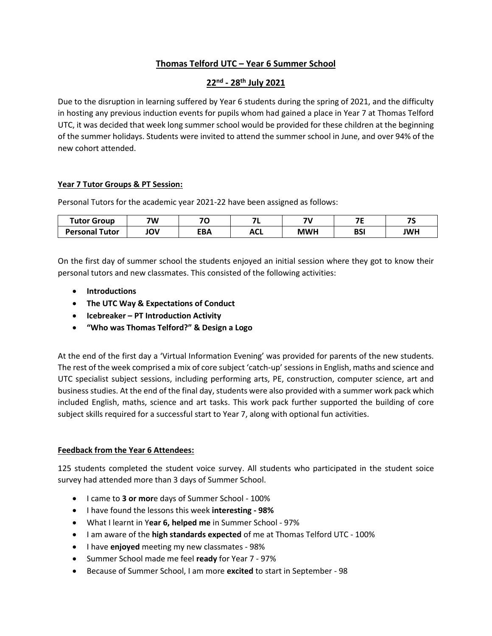## **Thomas Telford UTC – Year 6 Summer School**

## **22nd - 28th July 2021**

Due to the disruption in learning suffered by Year 6 students during the spring of 2021, and the difficulty in hosting any previous induction events for pupils whom had gained a place in Year 7 at Thomas Telford UTC, it was decided that week long summer school would be provided for these children at the beginning of the summer holidays. Students were invited to attend the summer school in June, and over 94% of the new cohort attended.

## **Year 7 Tutor Groups & PT Session:**

Personal Tutors for the academic year 2021-22 have been assigned as follows:

| <b>Tutor Group</b>    | 7W  | 70  | $-$                       | 71         | --         | --<br>- |
|-----------------------|-----|-----|---------------------------|------------|------------|---------|
| <b>Personal Tutor</b> | ιOV | ΞВΑ | $\Lambda$ $\Gamma$<br>AUL | <b>MWI</b> | DC!<br>וכט | JWH     |

On the first day of summer school the students enjoyed an initial session where they got to know their personal tutors and new classmates. This consisted of the following activities:

- **Introductions**
- **The UTC Way & Expectations of Conduct**
- **Icebreaker – PT Introduction Activity**
- **"Who was Thomas Telford?" & Design a Logo**

At the end of the first day a 'Virtual Information Evening' was provided for parents of the new students. The rest of the week comprised a mix of core subject 'catch-up' sessions in English, maths and science and UTC specialist subject sessions, including performing arts, PE, construction, computer science, art and business studies. At the end of the final day, students were also provided with a summer work pack which included English, maths, science and art tasks. This work pack further supported the building of core subject skills required for a successful start to Year 7, along with optional fun activities.

## **Feedback from the Year 6 Attendees:**

125 students completed the student voice survey. All students who participated in the student soice survey had attended more than 3 days of Summer School.

- I came to **3 or mor**e days of Summer School 100%
- I have found the lessons this week **interesting - 98%**
- What I learnt in Y**ear 6, helped me** in Summer School 97%
- I am aware of the **high standards expected** of me at Thomas Telford UTC 100%
- I have **enjoyed** meeting my new classmates 98%
- Summer School made me feel **ready** for Year 7 97%
- Because of Summer School, I am more **excited** to start in September 98